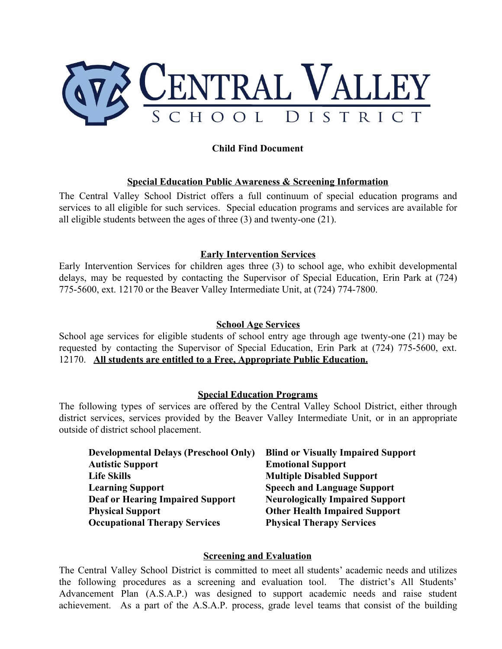

# **Child Find Document**

## **Special Education Public Awareness & Screening Information**

The Central Valley School District offers a full continuum of special education programs and services to all eligible for such services. Special education programs and services are available for all eligible students between the ages of three  $(3)$  and twenty-one  $(21)$ .

## **Early Intervention Services**

Early Intervention Services for children ages three (3) to school age, who exhibit developmental delays, may be requested by contacting the Supervisor of Special Education, Erin Park at (724) 775-5600, ext. 12170 or the Beaver Valley Intermediate Unit, at (724) 774-7800.

### **School Age Services**

School age services for eligible students of school entry age through age twenty-one (21) may be requested by contacting the Supervisor of Special Education, Erin Park at (724) 775-5600, ext. 12170. **All students are entitled to a Free, Appropriate Public Education.**

## **Special Education Programs**

The following types of services are offered by the Central Valley School District, either through district services, services provided by the Beaver Valley Intermediate Unit, or in an appropriate outside of district school placement.

| <b>Developmental Delays (Preschool Only)</b> | <b>Blind or Visually Impaired Support</b> |
|----------------------------------------------|-------------------------------------------|
| <b>Autistic Support</b>                      | <b>Emotional Support</b>                  |
| <b>Life Skills</b>                           | <b>Multiple Disabled Support</b>          |
| <b>Learning Support</b>                      | <b>Speech and Language Support</b>        |
| <b>Deaf or Hearing Impaired Support</b>      | <b>Neurologically Impaired Support</b>    |
| <b>Physical Support</b>                      | <b>Other Health Impaired Support</b>      |
| <b>Occupational Therapy Services</b>         | <b>Physical Therapy Services</b>          |

## **Screening and Evaluation**

The Central Valley School District is committed to meet all students' academic needs and utilizes the following procedures as a screening and evaluation tool. The district's All Students' Advancement Plan (A.S.A.P.) was designed to support academic needs and raise student achievement. As a part of the A.S.A.P. process, grade level teams that consist of the building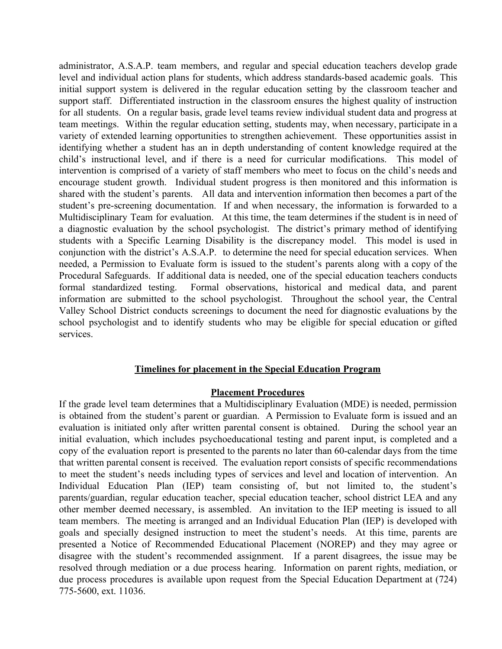administrator, A.S.A.P. team members, and regular and special education teachers develop grade level and individual action plans for students, which address standards-based academic goals. This initial support system is delivered in the regular education setting by the classroom teacher and support staff. Differentiated instruction in the classroom ensures the highest quality of instruction for all students. On a regular basis, grade level teams review individual student data and progress at team meetings. Within the regular education setting, students may, when necessary, participate in a variety of extended learning opportunities to strengthen achievement. These opportunities assist in identifying whether a student has an in depth understanding of content knowledge required at the child's instructional level, and if there is a need for curricular modifications. This model of intervention is comprised of a variety of staff members who meet to focus on the child's needs and encourage student growth. Individual student progress is then monitored and this information is shared with the student's parents. All data and intervention information then becomes a part of the student's pre-screening documentation. If and when necessary, the information is forwarded to a Multidisciplinary Team for evaluation. At this time, the team determines if the student is in need of a diagnostic evaluation by the school psychologist. The district's primary method of identifying students with a Specific Learning Disability is the discrepancy model. This model is used in conjunction with the district's A.S.A.P. to determine the need for special education services. When needed, a Permission to Evaluate form is issued to the student's parents along with a copy of the Procedural Safeguards. If additional data is needed, one of the special education teachers conducts formal standardized testing. Formal observations, historical and medical data, and parent information are submitted to the school psychologist. Throughout the school year, the Central Valley School District conducts screenings to document the need for diagnostic evaluations by the school psychologist and to identify students who may be eligible for special education or gifted services.

### **Timelines for placement in the Special Education Program**

### **Placement Procedures**

If the grade level team determines that a Multidisciplinary Evaluation (MDE) is needed, permission is obtained from the student's parent or guardian. A Permission to Evaluate form is issued and an evaluation is initiated only after written parental consent is obtained. During the school year an initial evaluation, which includes psychoeducational testing and parent input, is completed and a copy of the evaluation report is presented to the parents no later than 60-calendar days from the time that written parental consent is received. The evaluation report consists of specific recommendations to meet the student's needs including types of services and level and location of intervention. An Individual Education Plan (IEP) team consisting of, but not limited to, the student's parents/guardian, regular education teacher, special education teacher, school district LEA and any other member deemed necessary, is assembled. An invitation to the IEP meeting is issued to all team members. The meeting is arranged and an Individual Education Plan (IEP) is developed with goals and specially designed instruction to meet the student's needs. At this time, parents are presented a Notice of Recommended Educational Placement (NOREP) and they may agree or disagree with the student's recommended assignment. If a parent disagrees, the issue may be resolved through mediation or a due process hearing. Information on parent rights, mediation, or due process procedures is available upon request from the Special Education Department at (724) 775-5600, ext. 11036.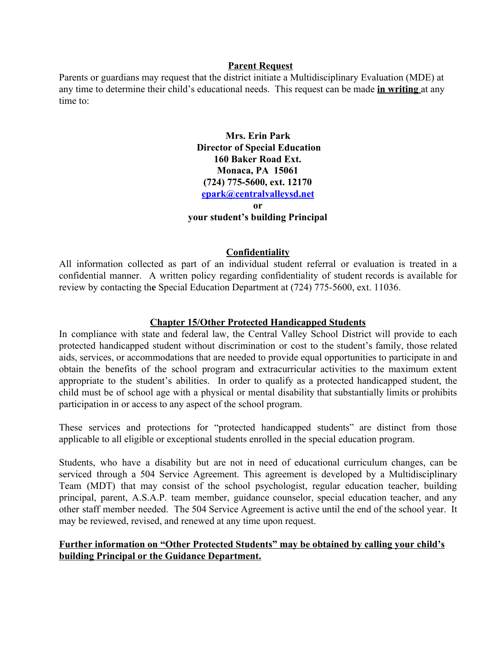### **Parent Request**

Parents or guardians may request that the district initiate a Multidisciplinary Evaluation (MDE) at any time to determine their child's educational needs. This request can be made **in writing** at any time to:

> **Mrs. Erin Park Director of Special Education 160 Baker Road Ext. Monaca, PA 15061 (724) 7755600, ext. 12170 [epark@centralvalleysd.net](mailto:epark@centralvalleysd.org) or your student's building Principal**

## **Confidentiality**

All information collected as part of an individual student referral or evaluation is treated in a confidential manner. A written policy regarding confidentiality of student records is available for review by contacting the Special Education Department at (724) 775-5600, ext. 11036.

### **Chapter 15/Other Protected Handicapped Students**

In compliance with state and federal law, the Central Valley School District will provide to each protected handicapped student without discrimination or cost to the student's family, those related aids, services, or accommodations that are needed to provide equal opportunities to participate in and obtain the benefits of the school program and extracurricular activities to the maximum extent appropriate to the student's abilities. In order to qualify as a protected handicapped student, the child must be of school age with a physical or mental disability that substantially limits or prohibits participation in or access to any aspect of the school program.

These services and protections for "protected handicapped students" are distinct from those applicable to all eligible or exceptional students enrolled in the special education program.

Students, who have a disability but are not in need of educational curriculum changes, can be serviced through a 504 Service Agreement. This agreement is developed by a Multidisciplinary Team (MDT) that may consist of the school psychologist, regular education teacher, building principal, parent, A.S.A.P. team member, guidance counselor, special education teacher, and any other staff member needed. The 504 Service Agreement is active until the end of the school year. It may be reviewed, revised, and renewed at any time upon request.

## **Further information on "Other Protected Students" may be obtained by calling your child's building Principal or the Guidance Department.**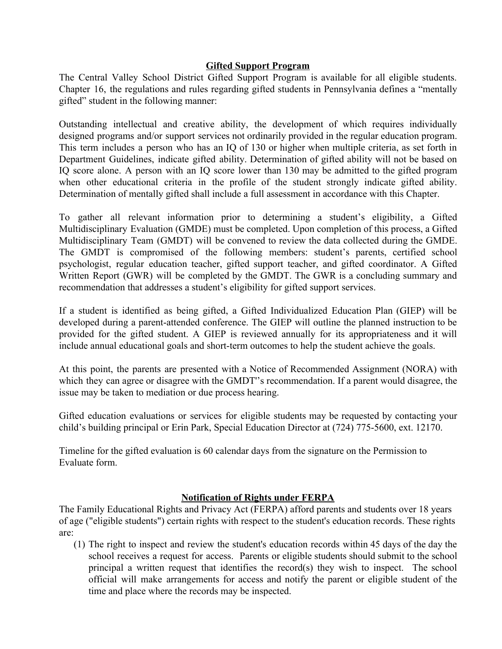## **Gifted Support Program**

The Central Valley School District Gifted Support Program is available for all eligible students. Chapter 16, the regulations and rules regarding gifted students in Pennsylvania defines a "mentally gifted" student in the following manner:

Outstanding intellectual and creative ability, the development of which requires individually designed programs and/or support services not ordinarily provided in the regular education program. This term includes a person who has an IQ of 130 or higher when multiple criteria, as set forth in Department Guidelines, indicate gifted ability. Determination of gifted ability will not be based on IQ score alone. A person with an IQ score lower than 130 may be admitted to the gifted program when other educational criteria in the profile of the student strongly indicate gifted ability. Determination of mentally gifted shall include a full assessment in accordance with this Chapter.

To gather all relevant information prior to determining a student's eligibility, a Gifted Multidisciplinary Evaluation (GMDE) must be completed. Upon completion of this process, a Gifted Multidisciplinary Team (GMDT) will be convened to review the data collected during the GMDE. The GMDT is compromised of the following members: student's parents, certified school psychologist, regular education teacher, gifted support teacher, and gifted coordinator. A Gifted Written Report (GWR) will be completed by the GMDT. The GWR is a concluding summary and recommendation that addresses a student's eligibility for gifted support services.

If a student is identified as being gifted, a Gifted Individualized Education Plan (GIEP) will be developed during a parent-attended conference. The GIEP will outline the planned instruction to be provided for the gifted student. A GIEP is reviewed annually for its appropriateness and it will include annual educational goals and short-term outcomes to help the student achieve the goals.

At this point, the parents are presented with a Notice of Recommended Assignment (NORA) with which they can agree or disagree with the GMDT''s recommendation. If a parent would disagree, the issue may be taken to mediation or due process hearing.

Gifted education evaluations or services for eligible students may be requested by contacting your child's building principal or Erin Park, Special Education Director at (724) 775-5600, ext. 12170.

Timeline for the gifted evaluation is 60 calendar days from the signature on the Permission to Evaluate form.

# **Notification of Rights under FERPA**

The Family Educational Rights and Privacy Act (FERPA) afford parents and students over 18 years of age ("eligible students") certain rights with respect to the student's education records. These rights are:

(1) The right to inspect and review the student's education records within 45 days of the day the school receives a request for access. Parents or eligible students should submit to the school principal a written request that identifies the record(s) they wish to inspect. The school official will make arrangements for access and notify the parent or eligible student of the time and place where the records may be inspected.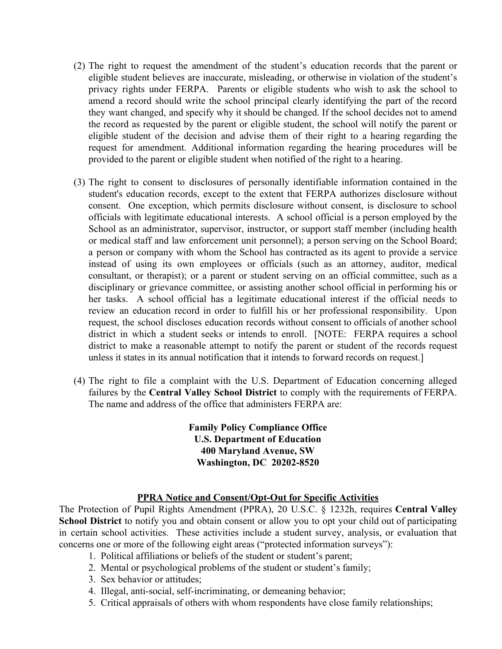- (2) The right to request the amendment of the student's education records that the parent or eligible student believes are inaccurate, misleading, or otherwise in violation of the student's privacy rights under FERPA. Parents or eligible students who wish to ask the school to amend a record should write the school principal clearly identifying the part of the record they want changed, and specify why it should be changed. If the school decides not to amend the record as requested by the parent or eligible student, the school will notify the parent or eligible student of the decision and advise them of their right to a hearing regarding the request for amendment. Additional information regarding the hearing procedures will be provided to the parent or eligible student when notified of the right to a hearing.
- (3) The right to consent to disclosures of personally identifiable information contained in the student's education records, except to the extent that FERPA authorizes disclosure without consent. One exception, which permits disclosure without consent, is disclosure to school officials with legitimate educational interests. A school official is a person employed by the School as an administrator, supervisor, instructor, or support staff member (including health or medical staff and law enforcement unit personnel); a person serving on the School Board; a person or company with whom the School has contracted as its agent to provide a service instead of using its own employees or officials (such as an attorney, auditor, medical consultant, or therapist); or a parent or student serving on an official committee, such as a disciplinary or grievance committee, or assisting another school official in performing his or her tasks. A school official has a legitimate educational interest if the official needs to review an education record in order to fulfill his or her professional responsibility. Upon request, the school discloses education records without consent to officials of another school district in which a student seeks or intends to enroll. [NOTE: FERPA requires a school district to make a reasonable attempt to notify the parent or student of the records request unless it states in its annual notification that it intends to forward records on request.]
- (4) The right to file a complaint with the U.S. Department of Education concerning alleged failures by the **Central Valley School District** to comply with the requirements of FERPA. The name and address of the office that administers FERPA are:

**Family Policy Compliance Office U.S. Department of Education 400 Maryland Avenue, SW Washington, DC 20202-8520** 

## **PPRA** Notice and Consent/Opt-Out for Specific Activities

The Protection of Pupil Rights Amendment (PPRA), 20 U.S.C. § 1232h, requires **Central Valley School District** to notify you and obtain consent or allow you to opt your child out of participating in certain school activities. These activities include a student survey, analysis, or evaluation that concerns one or more of the following eight areas ("protected information surveys"):

- 1. Political affiliations or beliefs of the student or student's parent;
- 2. Mental or psychological problems of the student or student's family;
- 3. Sex behavior or attitudes;
- 4. Illegal, anti-social, self-incriminating, or demeaning behavior;
- 5. Critical appraisals of others with whom respondents have close family relationships;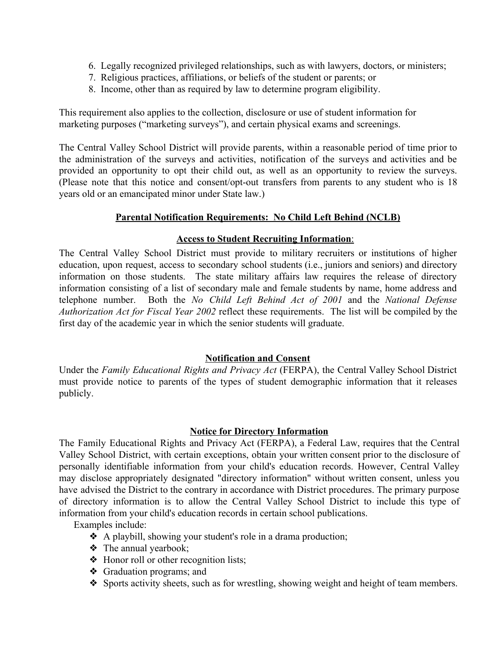- 6. Legally recognized privileged relationships, such as with lawyers, doctors, or ministers;
- 7. Religious practices, affiliations, or beliefs of the student or parents; or
- 8. Income, other than as required by law to determine program eligibility.

This requirement also applies to the collection, disclosure or use of student information for marketing purposes ("marketing surveys"), and certain physical exams and screenings.

The Central Valley School District will provide parents, within a reasonable period of time prior to the administration of the surveys and activities, notification of the surveys and activities and be provided an opportunity to opt their child out, as well as an opportunity to review the surveys. (Please note that this notice and consent/opt-out transfers from parents to any student who is 18 years old or an emancipated minor under State law.)

## **Parental Notification Requirements: No Child Left Behind (NCLB)**

## **Access to Student Recruiting Information**:

The Central Valley School District must provide to military recruiters or institutions of higher education, upon request, access to secondary school students (i.e., juniors and seniors) and directory information on those students. The state military affairs law requires the release of directory information consisting of a list of secondary male and female students by name, home address and telephone number. Both the *No Child Left Behind Act of 2001* and the *National Defense Authorization Act for Fiscal Year 2002* reflect these requirements. The list will be compiled by the first day of the academic year in which the senior students will graduate.

## **Notification and Consent**

Under the *Family Educational Rights and Privacy Act* (FERPA), the Central Valley School District must provide notice to parents of the types of student demographic information that it releases publicly.

## **Notice for Directory Information**

The Family Educational Rights and Privacy Act (FERPA), a Federal Law, requires that the Central Valley School District, with certain exceptions, obtain your written consent prior to the disclosure of personally identifiable information from your child's education records. However, Central Valley may disclose appropriately designated "directory information" without written consent, unless you have advised the District to the contrary in accordance with District procedures. The primary purpose of directory information is to allow the Central Valley School District to include this type of information from your child's education records in certain school publications.

Examples include:

- ❖ A playbill, showing your student's role in a drama production;
- ❖ The annual yearbook;
- ❖ Honor roll or other recognition lists;
- ❖ Graduation programs; and
- ❖ Sports activity sheets, such as for wrestling, showing weight and height of team members.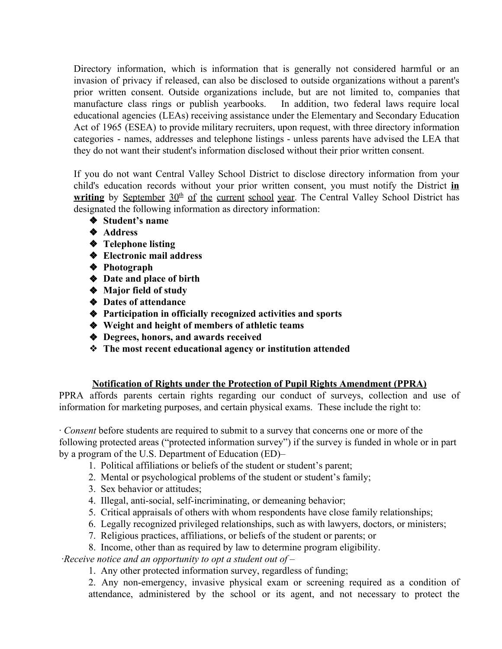Directory information, which is information that is generally not considered harmful or an invasion of privacy if released, can also be disclosed to outside organizations without a parent's prior written consent. Outside organizations include, but are not limited to, companies that manufacture class rings or publish yearbooks. In addition, two federal laws require local educational agencies (LEAs) receiving assistance under the Elementary and Secondary Education Act of 1965 (ESEA) to provide military recruiters, upon request, with three directory information categories - names, addresses and telephone listings - unless parents have advised the LEA that they do not want their student's information disclosed without their prior written consent.

If you do not want Central Valley School District to disclose directory information from your child's education records without your prior written consent, you must notify the District **in** writing by September 30<sup>th</sup> of the current school year. The Central Valley School District has designated the following information as directory information:

- ❖ **Student's name**
- ❖ **Address**
- ❖ **Telephone listing**
- ❖ **Electronic mail address**
- ❖ **Photograph**
- ❖ **Date and place of birth**
- ❖ **Major field of study**
- ❖ **Dates of attendance**
- ❖ **Participation in officially recognized activities and sports**
- ❖ **Weight and height of members of athletic teams**
- ❖ **Degrees, honors, and awards received**
- ❖ **The most recent educational agency or institution attended**

# **Notification of Rights under the Protection of Pupil Rights Amendment (PPRA)**

PPRA affords parents certain rights regarding our conduct of surveys, collection and use of information for marketing purposes, and certain physical exams. These include the right to:

∙ *Consent* before students are required to submit to a survey that concerns one or more of the following protected areas ("protected information survey") if the survey is funded in whole or in part by a program of the U.S. Department of Education (ED)–

- 1. Political affiliations or beliefs of the student or student's parent;
- 2. Mental or psychological problems of the student or student's family;
- 3. Sex behavior or attitudes;
- 4. Illegal, anti-social, self-incriminating, or demeaning behavior;
- 5. Critical appraisals of others with whom respondents have close family relationships;
- 6. Legally recognized privileged relationships, such as with lawyers, doctors, or ministers;
- 7. Religious practices, affiliations, or beliefs of the student or parents; or
- 8. Income, other than as required by law to determine program eligibility.

∙*Receive notice and an opportunity to opt a student out of* –

1. Any other protected information survey, regardless of funding;

2. Any non-emergency, invasive physical exam or screening required as a condition of attendance, administered by the school or its agent, and not necessary to protect the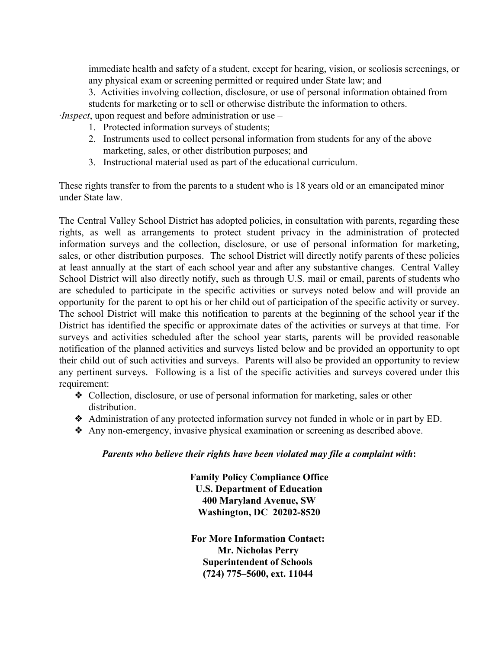immediate health and safety of a student, except for hearing, vision, or scoliosis screenings, or any physical exam or screening permitted or required under State law; and

3. Activities involving collection, disclosure, or use of personal information obtained from students for marketing or to sell or otherwise distribute the information to others.

∙*Inspect*, upon request and before administration or use –

- 1. Protected information surveys of students;
- 2. Instruments used to collect personal information from students for any of the above marketing, sales, or other distribution purposes; and
- 3. Instructional material used as part of the educational curriculum.

These rights transfer to from the parents to a student who is 18 years old or an emancipated minor under State law.

The Central Valley School District has adopted policies, in consultation with parents, regarding these rights, as well as arrangements to protect student privacy in the administration of protected information surveys and the collection, disclosure, or use of personal information for marketing, sales, or other distribution purposes. The school District will directly notify parents of these policies at least annually at the start of each school year and after any substantive changes. Central Valley School District will also directly notify, such as through U.S. mail or email, parents of students who are scheduled to participate in the specific activities or surveys noted below and will provide an opportunity for the parent to opt his or her child out of participation of the specific activity or survey. The school District will make this notification to parents at the beginning of the school year if the District has identified the specific or approximate dates of the activities or surveys at that time. For surveys and activities scheduled after the school year starts, parents will be provided reasonable notification of the planned activities and surveys listed below and be provided an opportunity to opt their child out of such activities and surveys. Parents will also be provided an opportunity to review any pertinent surveys. Following is a list of the specific activities and surveys covered under this requirement:

- ❖ Collection, disclosure, or use of personal information for marketing, sales or other distribution.
- ❖ Administration of any protected information survey not funded in whole or in part by ED.
- ❖ Any nonemergency, invasive physical examination or screening as described above.

# *Parents who believe their rights have been violated may file a complaint with***:**

**Family Policy Compliance Office U.S. Department of Education 400 Maryland Avenue, SW Washington, DC 20202-8520** 

**For More Information Contact: Mr. Nicholas Perry Superintendent of Schools (724) 775–5600, ext. 11044**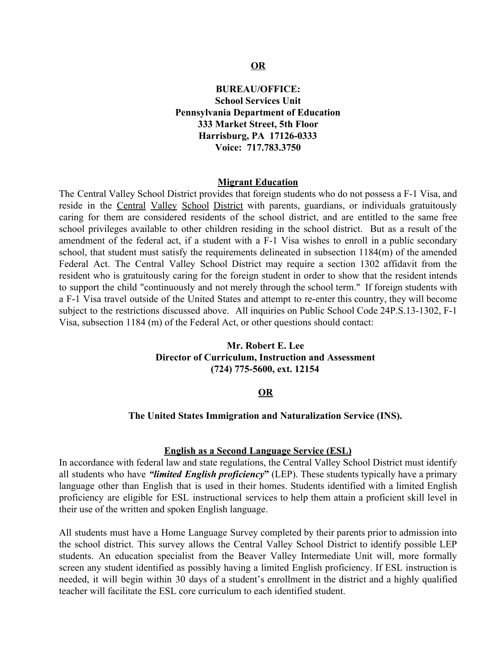#### **OR**

# **BUREAU/OFFICE: School Services Unit Pennsylvania Department of Education 333 Market Street, 5th Floor Harrisburg, PA 17126-0333 Voice: 717.783.3750**

#### **Migrant Education**

The Central Valley School District provides that foreign students who do not possess a F-1 Visa, and reside in the Central Valley School District with parents, guardians, or individuals gratuitously caring for them are considered residents of the school district, and are entitled to the same free school privileges available to other children residing in the school district. But as a result of the amendment of the federal act, if a student with a F-1 Visa wishes to enroll in a public secondary school, that student must satisfy the requirements delineated in subsection 1184(m) of the amended Federal Act. The Central Valley School District may require a section 1302 affidavit from the resident who is gratuitously caring for the foreign student in order to show that the resident intends to support the child "continuously and not merely through the school term." If foreign students with a F-1 Visa travel outside of the United States and attempt to re-enter this country, they will become subject to the restrictions discussed above. All inquiries on Public School Code 24P.S.13-1302, F-1 Visa, subsection 1184 (m) of the Federal Act, or other questions should contact:

## **Mr. Robert E. Lee Director of Curriculum, Instruction and Assessment (724) 7755600, ext. 12154**

#### **OR**

#### **The United States Immigration and Naturalization Service (INS).**

#### **English as a Second Language Service (ESL)**

In accordance with federal law and state regulations, the Central Valley School District must identify all students who have *"limited English proficiency***"** (LEP). These students typically have a primary language other than English that is used in their homes. Students identified with a limited English proficiency are eligible for ESL instructional services to help them attain a proficient skill level in their use of the written and spoken English language.

All students must have a Home Language Survey completed by their parents prior to admission into the school district. This survey allows the Central Valley School District to identify possible LEP students. An education specialist from the Beaver Valley Intermediate Unit will, more formally screen any student identified as possibly having a limited English proficiency. If ESL instruction is needed, it will begin within 30 days of a student's enrollment in the district and a highly qualified teacher will facilitate the ESL core curriculum to each identified student.